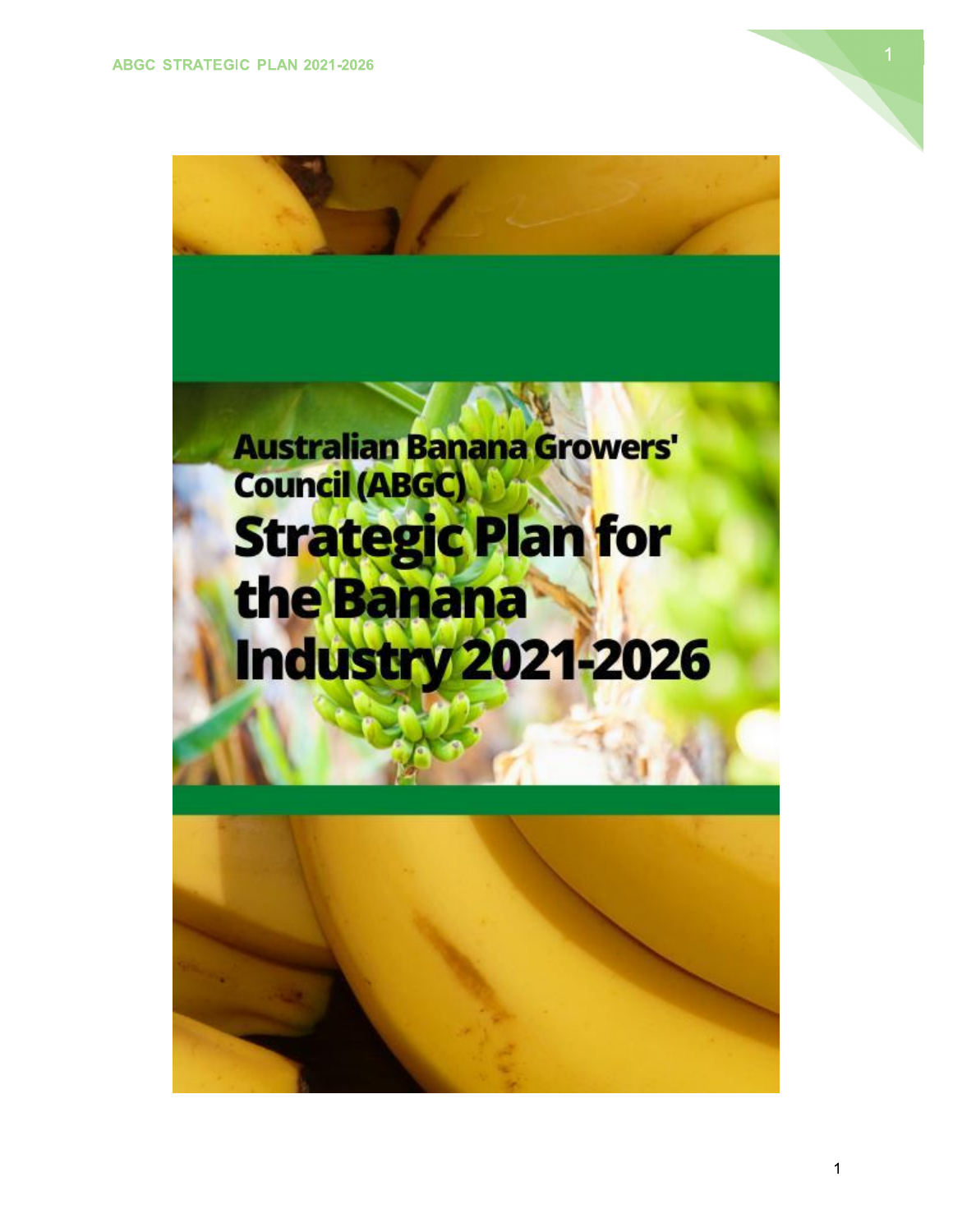

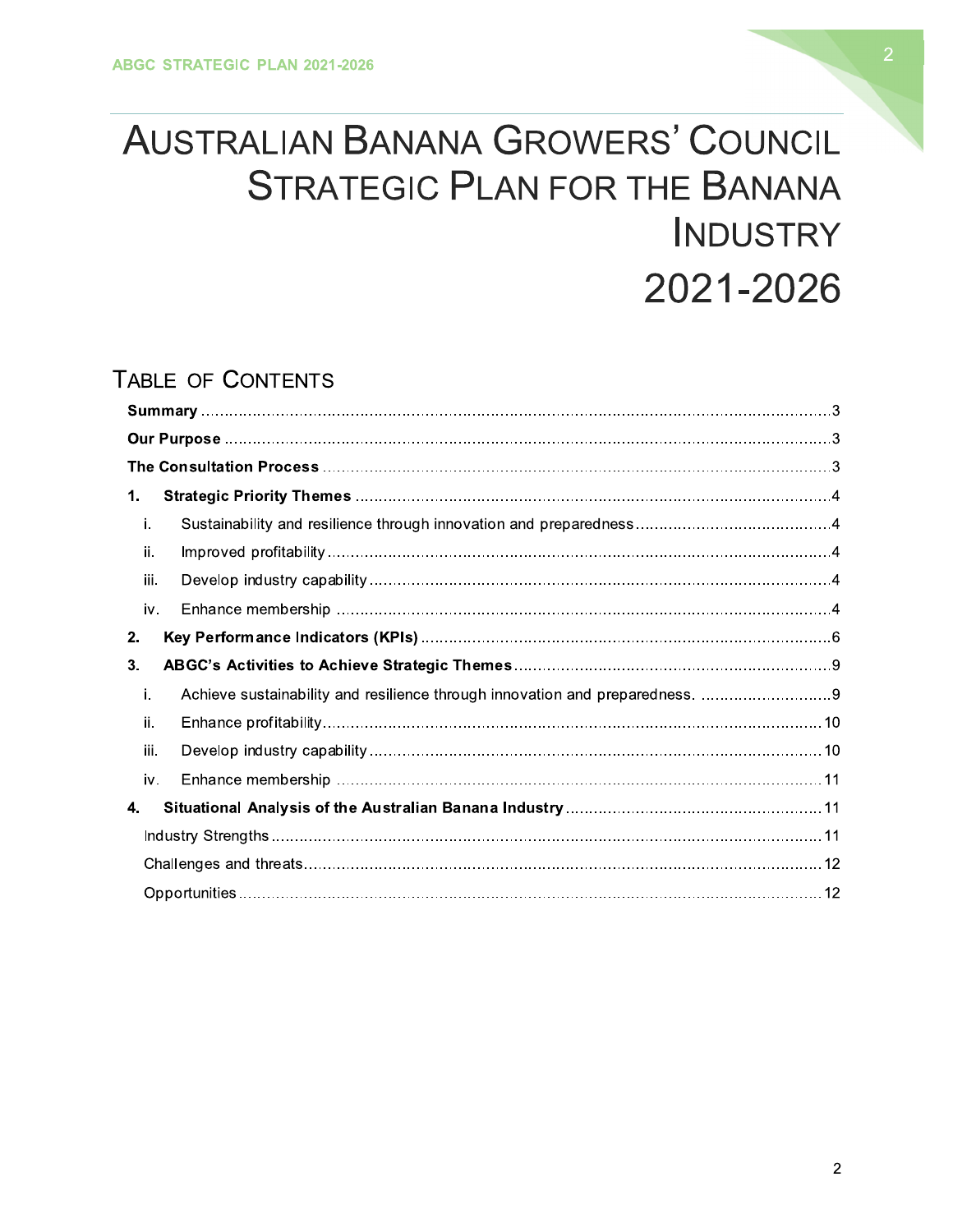# AUSTRALIAN BANANA GROWERS' COUNCIL STRATEGIC PLAN FOR THE BANANA<br>INDUSTRY &' 2021-2026

# TABLE OF CONTENTS

| 1.   |  |  |  |  |  |  |
|------|--|--|--|--|--|--|
| i.   |  |  |  |  |  |  |
| ii.  |  |  |  |  |  |  |
| iii. |  |  |  |  |  |  |
| iv.  |  |  |  |  |  |  |
| 2.   |  |  |  |  |  |  |
| 3.   |  |  |  |  |  |  |
| j.   |  |  |  |  |  |  |
| ii.  |  |  |  |  |  |  |
| iii. |  |  |  |  |  |  |
| iv.  |  |  |  |  |  |  |
| 4.   |  |  |  |  |  |  |
|      |  |  |  |  |  |  |
|      |  |  |  |  |  |  |
|      |  |  |  |  |  |  |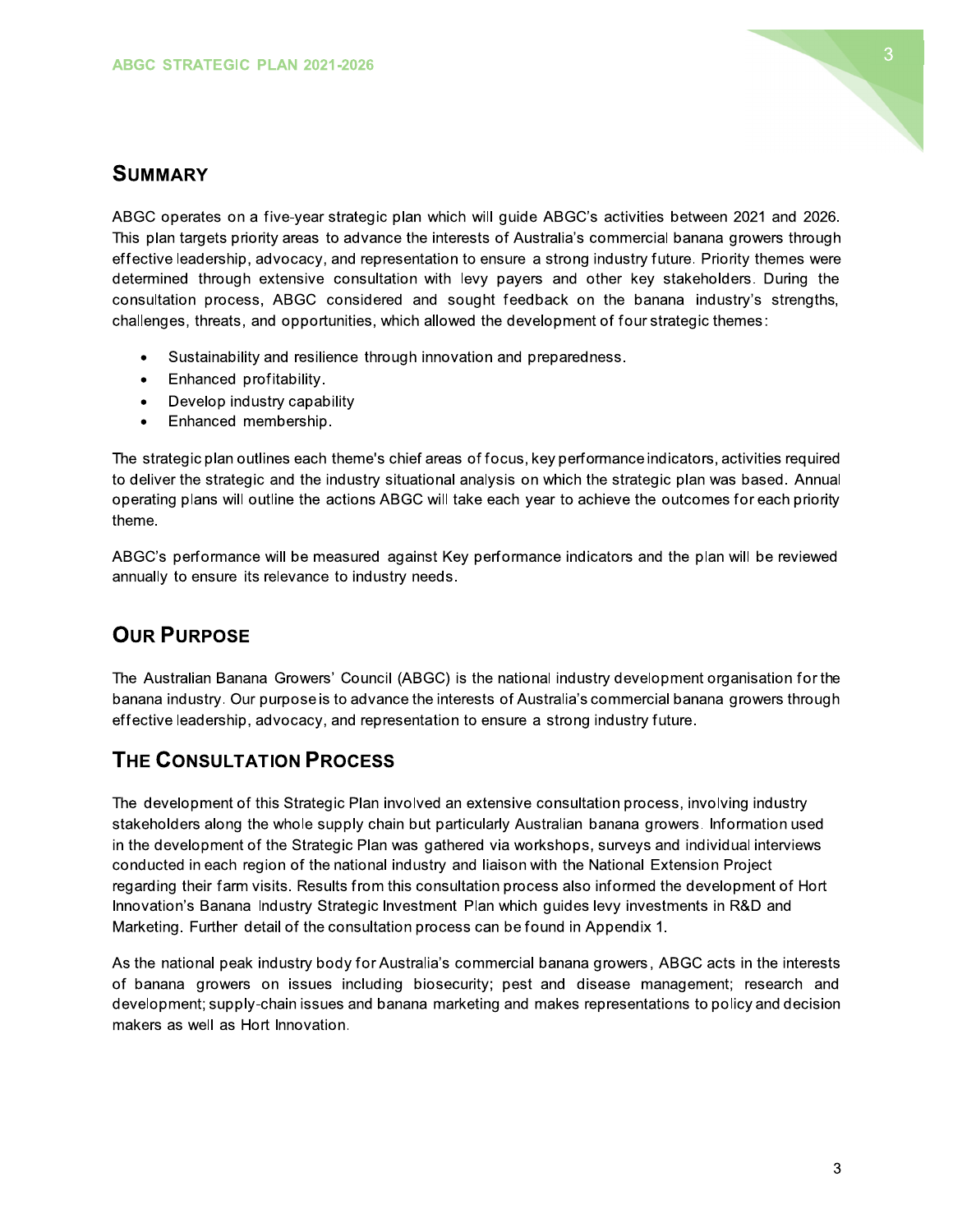

#### **SUMMARY**

ABGC operates on a five-year strategic plan which will guide ABGC's activities between 2021 and 2026. This plan targets priority areas to advance the interests of Australia's commercial banana growers through effective leadership, advocacy, and representation to ensure a strong industry future. Priority themes were determined through extensive consultation with levy payers and other key stakeholders. During the consultation process, ABGC considered and sought feedback on the banana industry's strengths, challenges, threats, and opportunities, which allowed the development of four strategic themes:

- Sustainability and resilience through innovation and preparedness.
- Enhanced profitability.  $\bullet$
- Develop industry capability  $\bullet$
- Enhanced membership.  $\bullet$

The strategic plan outlines each theme's chief areas of focus, key performance indicators, activities required to deliver the strategic and the industry situational analysis on which the strategic plan was based. Annual operating plans will outline the actions ABGC will take each year to achieve the outcomes for each priority theme.

ABGC's performance will be measured against Key performance indicators and the plan will be reviewed annually to ensure its relevance to industry needs.

## **OUR PURPOSE**

The Australian Banana Growers' Council (ABGC) is the national industry development organisation for the banana industry. Our purpose is to advance the interests of Australia's commercial banana growers through effective leadership, advocacy, and representation to ensure a strong industry future.

## **THE CONSULTATION PROCESS**

The development of this Strategic Plan involved an extensive consultation process, involving industry stakeholders along the whole supply chain but particularly Australian banana growers. Information used in the development of the Strategic Plan was gathered via workshops, surveys and individual interviews conducted in each region of the national industry and liaison with the National Extension Project regarding their farm visits. Results from this consultation process also informed the development of Hort Innovation's Banana Industry Strategic Investment Plan which guides levy investments in R&D and Marketing. Further detail of the consultation process can be found in Appendix 1.

As the national peak industry body for Australia's commercial banana growers, ABGC acts in the interests of banana growers on issues including biosecurity; pest and disease management; research and development; supply-chain issues and banana marketing and makes representations to policy and decision makers as well as Hort Innovation.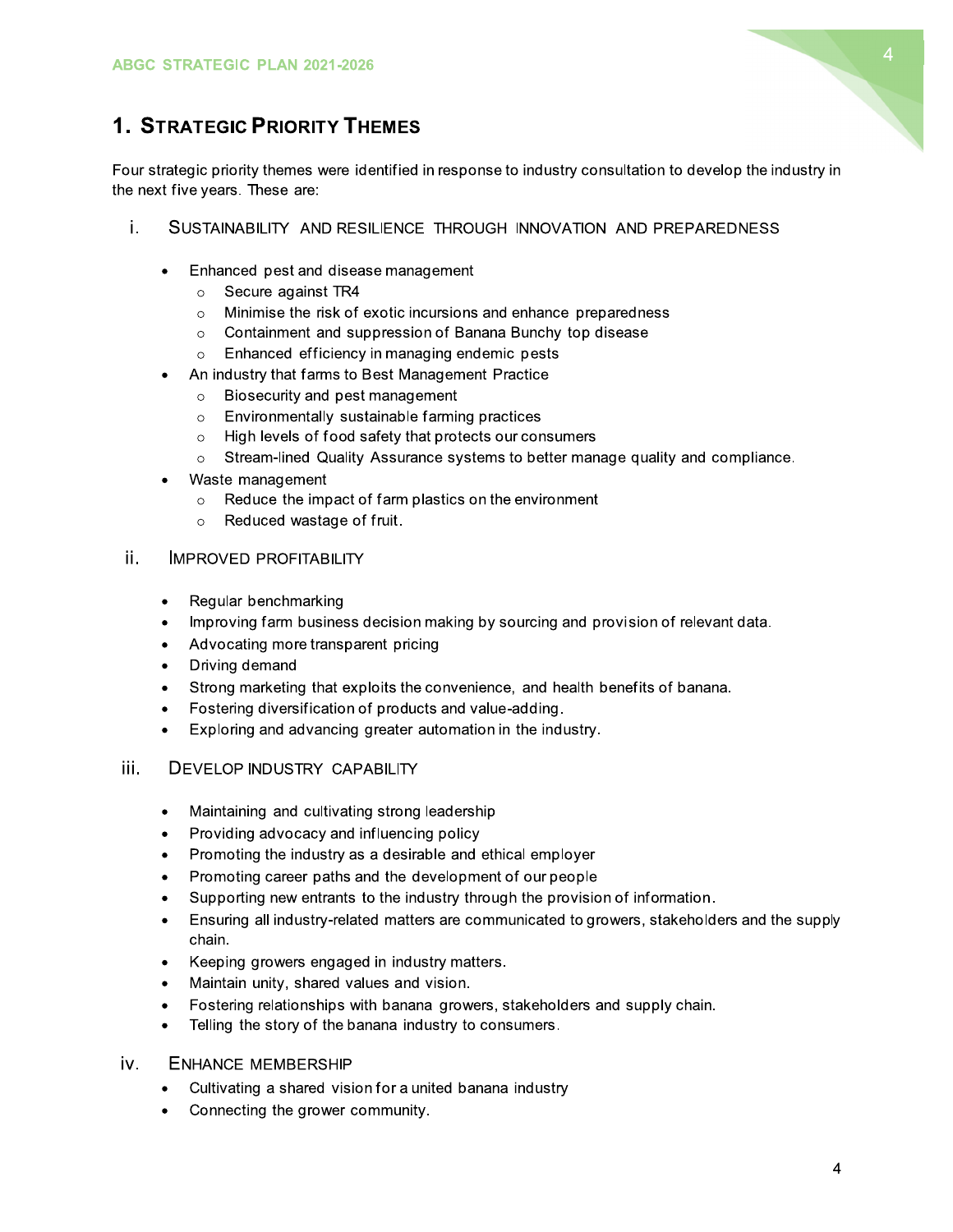

# **1. STRATEGIC PRIORITY THEMES**

Four strategic priority themes were identified in response to industry consultation to develop the industry in the next five years. These are:

- i. SUSTAINABILITY AND RESILIENCE THROUGH INNOVATION AND PREPAREDNESS
	- Enhanced pest and disease management
		- Secure against TR4  $\circ$
		- Minimise the risk of exotic incursions and enhance preparedness  $\circ$
		- Containment and suppression of Banana Bunchy top disease  $\circ$
		- Enhanced efficiency in managing endemic pests  $\circ$
	- An industry that farms to Best Management Practice
		- Biosecurity and pest management  $\circ$
		- Environmentally sustainable farming practices  $\circ$
		- o High levels of food safety that protects our consumers
		- Stream-lined Quality Assurance systems to better manage quality and compliance.
	- Waste management
		- $\circ$  Reduce the impact of farm plastics on the environment
		- Reduced wastage of fruit.
- ii. **IMPROVED PROFITABILITY** 
	- Regular benchmarking  $\bullet$
	- Improving farm business decision making by sourcing and provision of relevant data.  $\bullet$
	- Advocating more transparent pricing
	- Driving demand  $\bullet$
	- Strong marketing that exploits the convenience, and health benefits of banana.  $\bullet$
	- Fostering diversification of products and value-adding.  $\bullet$
	- Exploring and advancing greater automation in the industry.  $\bullet$

#### iii. **DEVELOP INDUSTRY CAPABILITY**

- Maintaining and cultivating strong leadership  $\bullet$
- Providing advocacy and influencing policy  $\bullet$
- Promoting the industry as a desirable and ethical employer
- Promoting career paths and the development of our people
- Supporting new entrants to the industry through the provision of information.
- Ensuring all industry-related matters are communicated to growers, stakeholders and the supply chain.
- Keeping growers engaged in industry matters.  $\bullet$
- Maintain unity, shared values and vision.
- Fostering relationships with banana growers, stakeholders and supply chain.
- Telling the story of the banana industry to consumers.  $\bullet$
- **ENHANCE MEMBERSHIP** iv.
	- Cultivating a shared vision for a united banana industry
	- Connecting the grower community.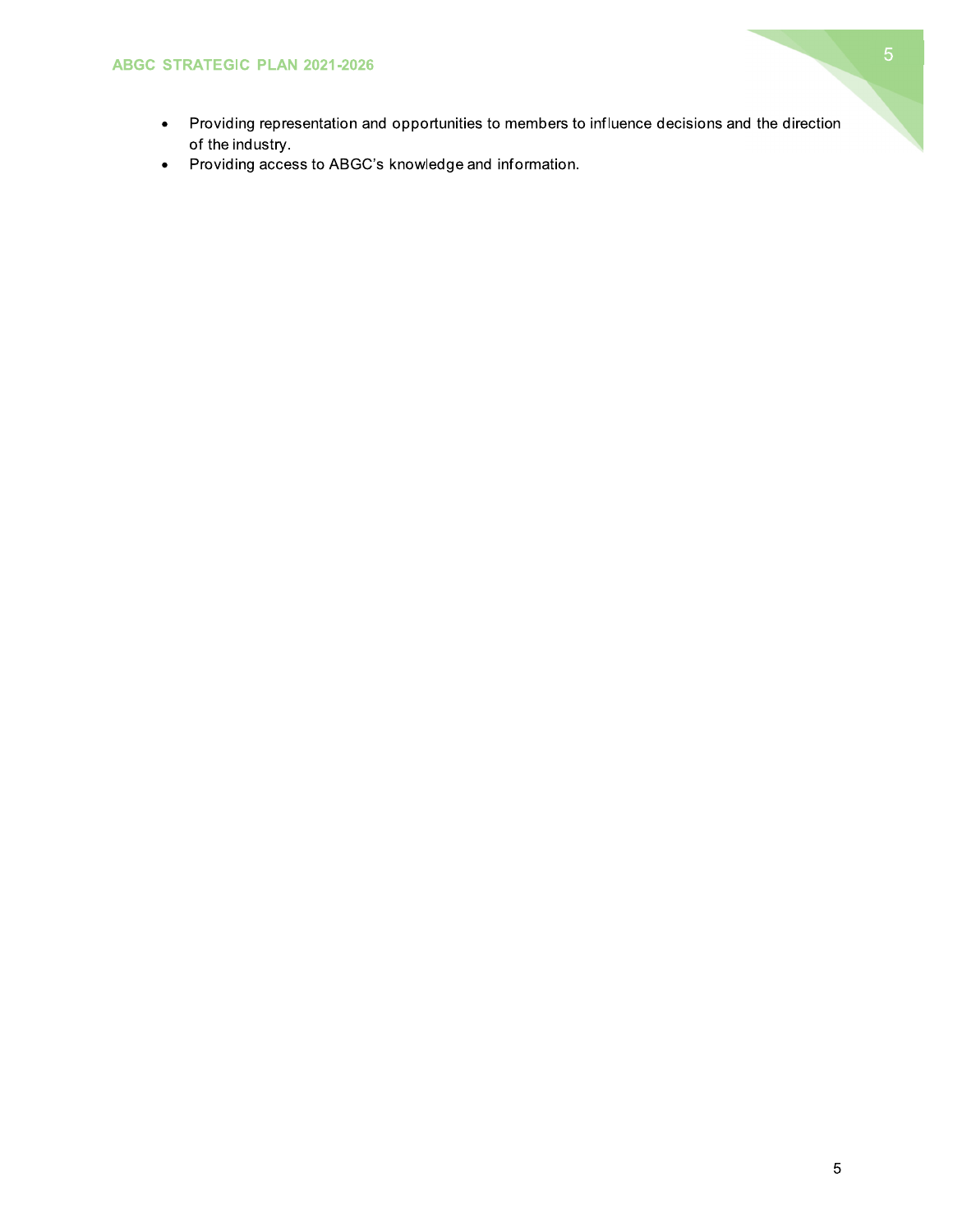

- Providing representation and opportunities to members to influence decisions and the direction of the industry.
- Providing access to ABGC's knowledge and information.  $\bullet$  .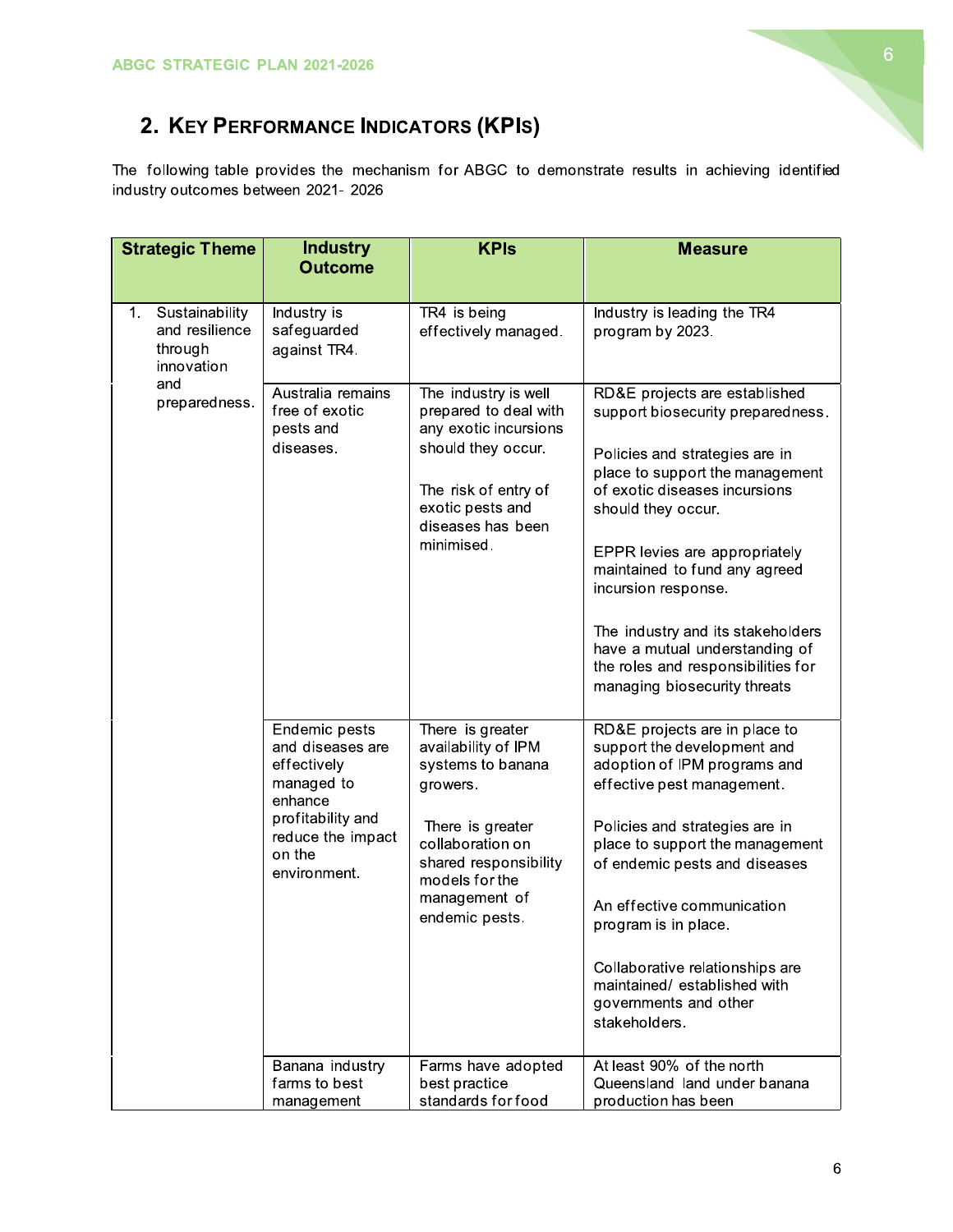

# 2. KEY PERFORMANCE INDICATORS (KPIS)

The following table provides the mechanism for ABGC to demonstrate results in achieving identified industry outcomes between 2021- 2026

| <b>Strategic Theme</b>                                               | <b>Industry</b><br><b>Outcome</b>                                                                                                             | <b>KPIs</b>                                                                                                                                                                                    | <b>Measure</b>                                                                                                                                                                                                                                                                                                                                                                                                                       |
|----------------------------------------------------------------------|-----------------------------------------------------------------------------------------------------------------------------------------------|------------------------------------------------------------------------------------------------------------------------------------------------------------------------------------------------|--------------------------------------------------------------------------------------------------------------------------------------------------------------------------------------------------------------------------------------------------------------------------------------------------------------------------------------------------------------------------------------------------------------------------------------|
|                                                                      |                                                                                                                                               |                                                                                                                                                                                                |                                                                                                                                                                                                                                                                                                                                                                                                                                      |
| Sustainability<br>$1_{-}$<br>and resilience<br>through<br>innovation | Industry is<br>safeguarded<br>against TR4.                                                                                                    | TR4 is being<br>effectively managed.                                                                                                                                                           | Industry is leading the TR4<br>program by 2023.                                                                                                                                                                                                                                                                                                                                                                                      |
| and<br>preparedness.                                                 | Australia remains<br>free of exotic<br>pests and<br>diseases.                                                                                 | The industry is well<br>prepared to deal with<br>any exotic incursions<br>should they occur.<br>The risk of entry of<br>exotic pests and<br>diseases has been<br>minimised.                    | RD&E projects are established<br>support biosecurity preparedness.<br>Policies and strategies are in<br>place to support the management<br>of exotic diseases incursions<br>should they occur.<br>EPPR levies are appropriately<br>maintained to fund any agreed<br>incursion response.<br>The industry and its stakeholders<br>have a mutual understanding of<br>the roles and responsibilities for<br>managing biosecurity threats |
|                                                                      | Endemic pests<br>and diseases are<br>effectively<br>managed to<br>enhance<br>profitability and<br>reduce the impact<br>on the<br>environment. | There is greater<br>availability of IPM<br>systems to banana<br>growers.<br>There is greater<br>collaboration on<br>shared responsibility<br>models for the<br>management of<br>endemic pests. | RD&E projects are in place to<br>support the development and<br>adoption of IPM programs and<br>effective pest management.<br>Policies and strategies are in<br>place to support the management<br>of endemic pests and diseases<br>An effective communication<br>program is in place.<br>Collaborative relationships are<br>maintained/ established with<br>governments and other<br>stakeholders.                                  |
|                                                                      | Banana industry<br>farms to best<br>management                                                                                                | Farms have adopted<br>best practice<br>standards for food                                                                                                                                      | At least 90% of the north<br>Queensland land under banana<br>production has been                                                                                                                                                                                                                                                                                                                                                     |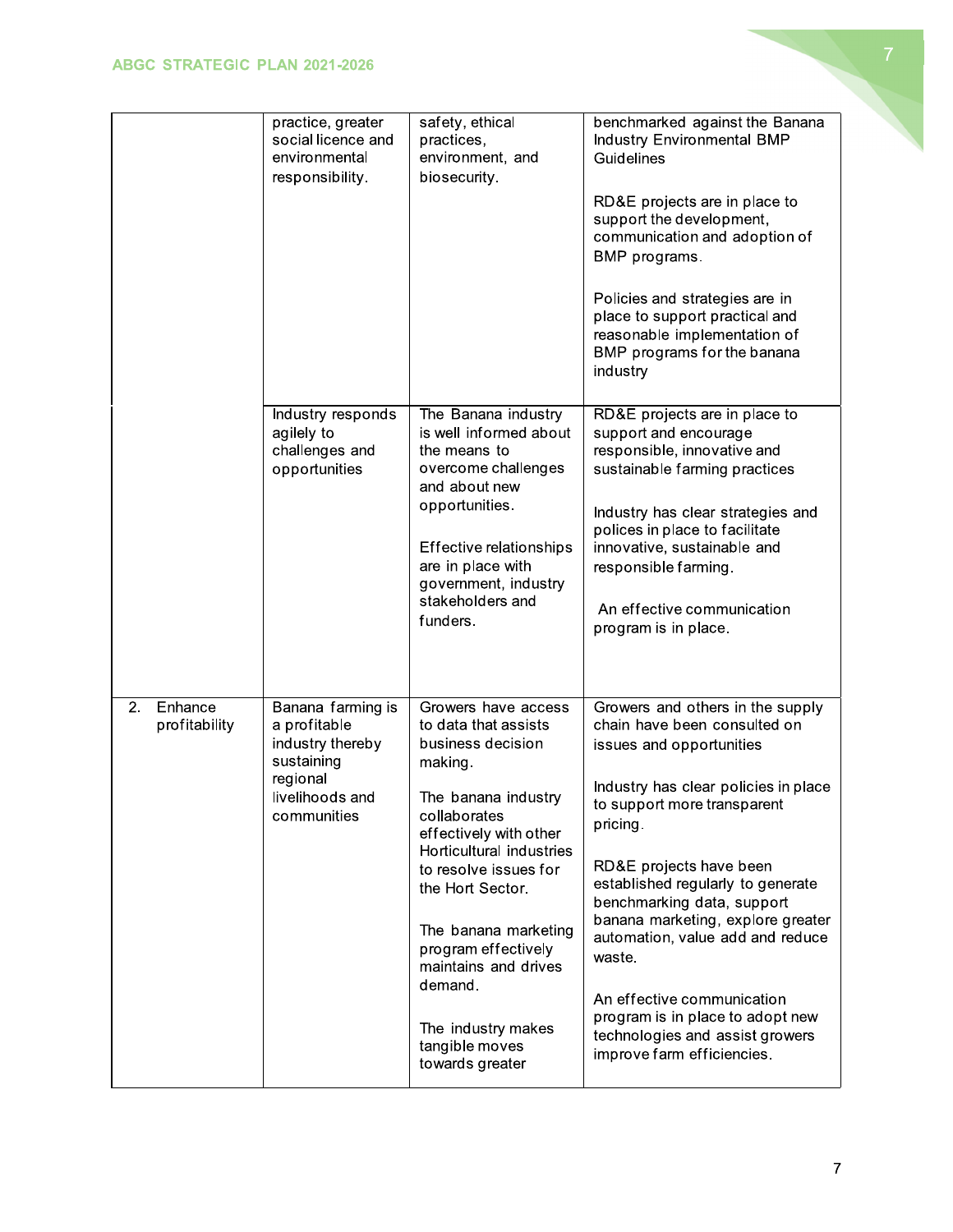|                                | practice, greater<br>social licence and<br>environmental<br>responsibility.                                       | safety, ethical<br>practices,<br>environment, and<br>biosecurity.                                                                                                                                                                                                                                                                                                  | benchmarked against the Banana<br>Industry Environmental BMP<br>Guidelines<br>RD&E projects are in place to<br>support the development,<br>communication and adoption of<br>BMP programs.<br>Policies and strategies are in<br>place to support practical and<br>reasonable implementation of<br>BMP programs for the banana<br>industry                                                                                                                                                            |
|--------------------------------|-------------------------------------------------------------------------------------------------------------------|--------------------------------------------------------------------------------------------------------------------------------------------------------------------------------------------------------------------------------------------------------------------------------------------------------------------------------------------------------------------|-----------------------------------------------------------------------------------------------------------------------------------------------------------------------------------------------------------------------------------------------------------------------------------------------------------------------------------------------------------------------------------------------------------------------------------------------------------------------------------------------------|
|                                | Industry responds<br>agilely to<br>challenges and<br>opportunities                                                | The Banana industry<br>is well informed about<br>the means to<br>overcome challenges<br>and about new<br>opportunities.<br>Effective relationships<br>are in place with<br>government, industry<br>stakeholders and<br>funders.                                                                                                                                    | RD&E projects are in place to<br>support and encourage<br>responsible, innovative and<br>sustainable farming practices<br>Industry has clear strategies and<br>polices in place to facilitate<br>innovative, sustainable and<br>responsible farming.<br>An effective communication<br>program is in place.                                                                                                                                                                                          |
| Enhance<br>2.<br>profitability | Banana farming is<br>a profitable<br>industry thereby<br>sustaining<br>regional<br>livelihoods and<br>communities | Growers have access<br>to data that assists<br>business decision<br>making.<br>The banana industry<br>collaborates<br>effectively with other<br>Horticultural industries<br>to resolve issues for<br>the Hort Sector.<br>The banana marketing<br>program effectively<br>maintains and drives<br>demand.<br>The industry makes<br>tangible moves<br>towards greater | Growers and others in the supply<br>chain have been consulted on<br>issues and opportunities<br>Industry has clear policies in place<br>to support more transparent<br>pricing.<br>RD&E projects have been<br>established regularly to generate<br>benchmarking data, support<br>banana marketing, explore greater<br>automation, value add and reduce<br>waste.<br>An effective communication<br>program is in place to adopt new<br>technologies and assist growers<br>improve farm efficiencies. |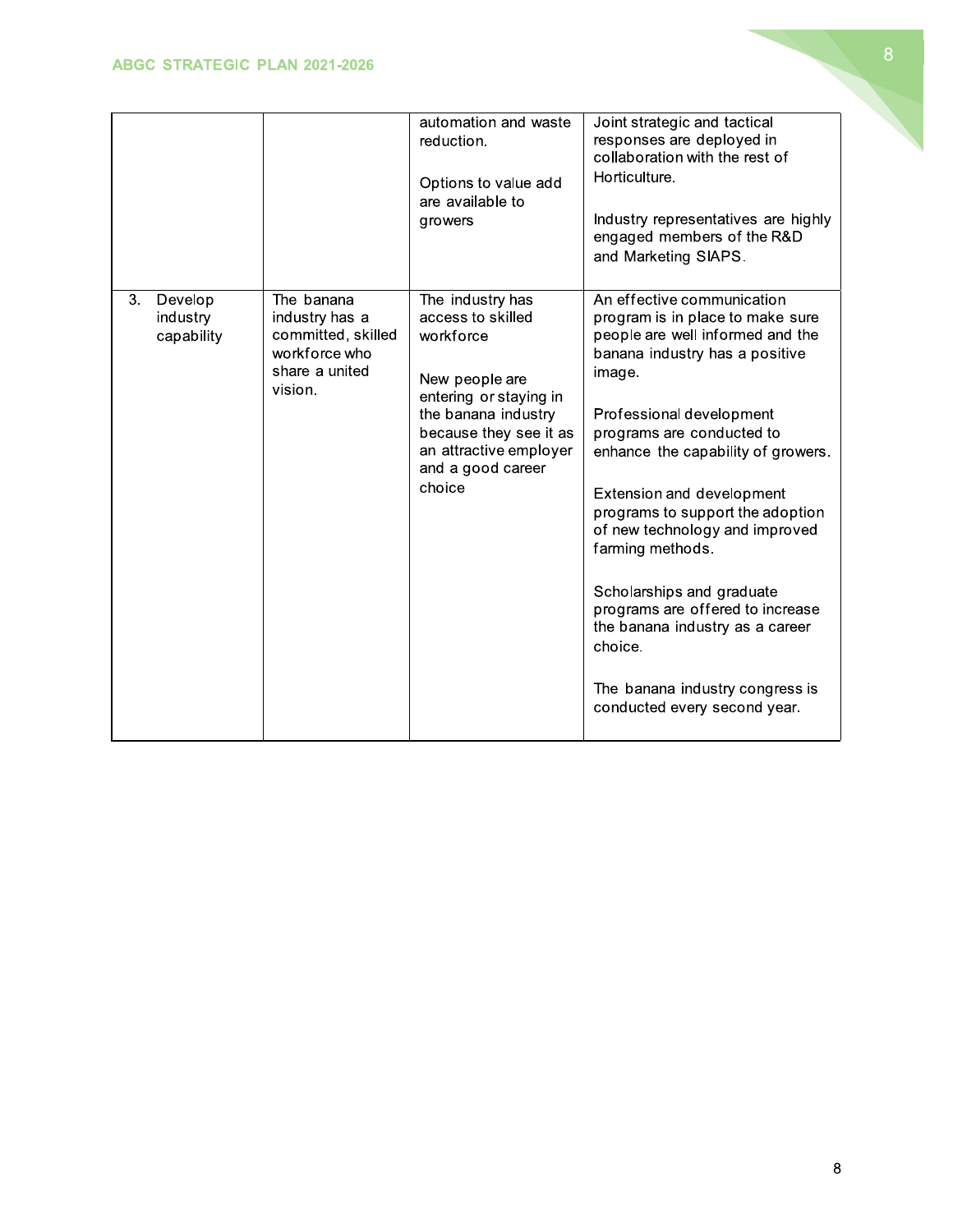|                                         |                                                                                                  | automation and waste<br>reduction.<br>Options to value add<br>are available to<br>growers                                                                                                                | Joint strategic and tactical<br>responses are deployed in<br>collaboration with the rest of<br>Horticulture.<br>Industry representatives are highly<br>engaged members of the R&D<br>and Marketing SIAPS.                                                                                                                                                                                                                                                                                                                                              |
|-----------------------------------------|--------------------------------------------------------------------------------------------------|----------------------------------------------------------------------------------------------------------------------------------------------------------------------------------------------------------|--------------------------------------------------------------------------------------------------------------------------------------------------------------------------------------------------------------------------------------------------------------------------------------------------------------------------------------------------------------------------------------------------------------------------------------------------------------------------------------------------------------------------------------------------------|
| 3.<br>Develop<br>industry<br>capability | The banana<br>industry has a<br>committed, skilled<br>workforce who<br>share a united<br>vision. | The industry has<br>access to skilled<br>workforce<br>New people are<br>entering or staying in<br>the banana industry<br>because they see it as<br>an attractive employer<br>and a good career<br>choice | An effective communication<br>program is in place to make sure<br>people are well informed and the<br>banana industry has a positive<br>image.<br>Professional development<br>programs are conducted to<br>enhance the capability of growers.<br>Extension and development<br>programs to support the adoption<br>of new technology and improved<br>farming methods.<br>Scholarships and graduate<br>programs are offered to increase<br>the banana industry as a career<br>choice.<br>The banana industry congress is<br>conducted every second year. |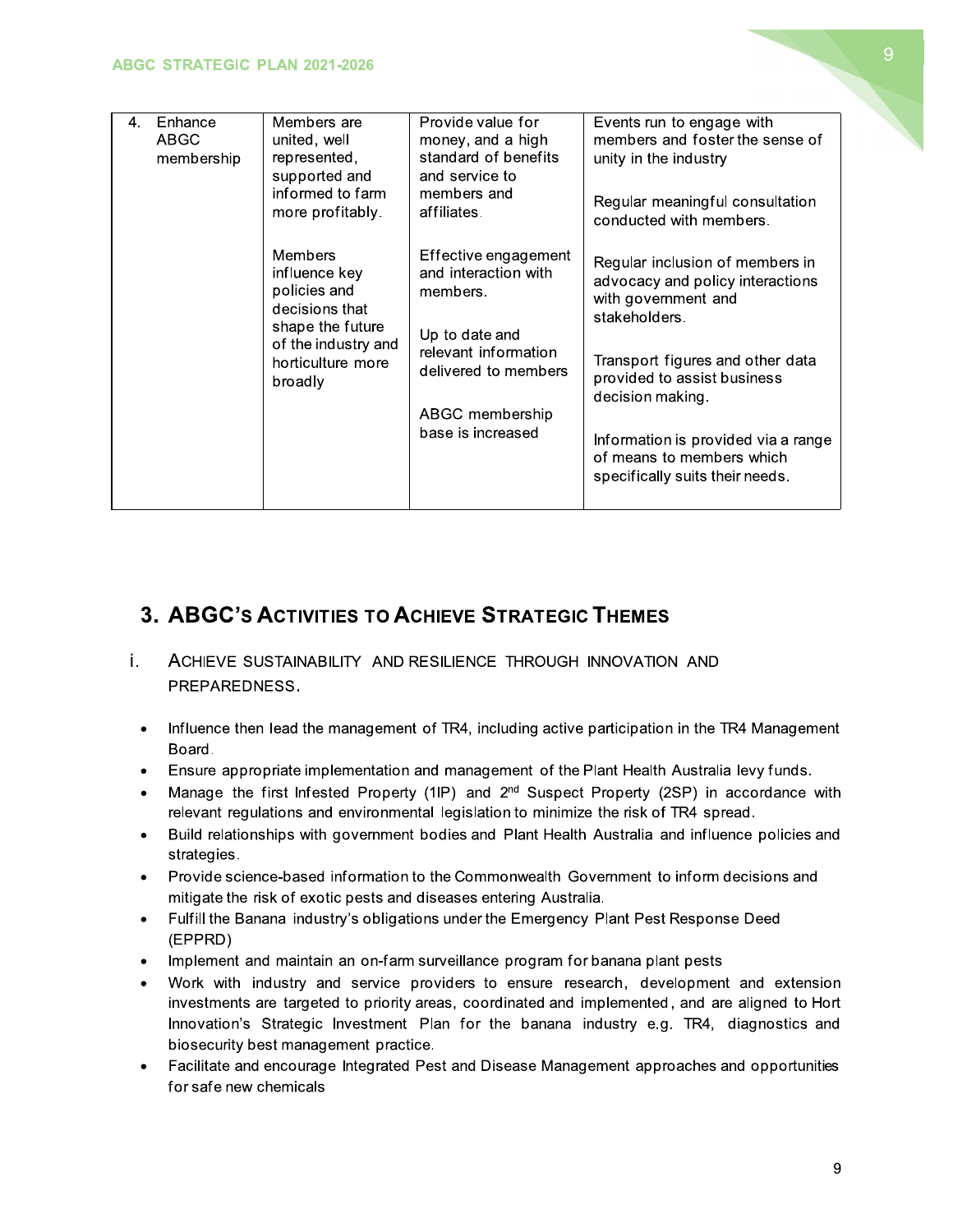| 4. | Enhance<br>Members are<br>ABGC<br>united, well<br>represented,<br>membership<br>supported and<br>informed to farm<br>more profitably.<br><b>Members</b><br>influence key<br>policies and<br>decisions that<br>shape the future<br>of the industry and<br>horticulture more<br>broadly | Provide value for<br>money, and a high<br>standard of benefits<br>and service to | Events run to engage with<br>members and foster the sense of<br>unity in the industry                       |                                                                                                     |
|----|---------------------------------------------------------------------------------------------------------------------------------------------------------------------------------------------------------------------------------------------------------------------------------------|----------------------------------------------------------------------------------|-------------------------------------------------------------------------------------------------------------|-----------------------------------------------------------------------------------------------------|
|    |                                                                                                                                                                                                                                                                                       |                                                                                  | members and<br>affiliates.                                                                                  | Regular meaningful consultation<br>conducted with members.                                          |
|    |                                                                                                                                                                                                                                                                                       | Effective engagement<br>and interaction with<br>members.                         | Regular inclusion of members in<br>advocacy and policy interactions<br>with government and<br>stakeholders. |                                                                                                     |
|    |                                                                                                                                                                                                                                                                                       |                                                                                  | Up to date and<br>relevant information<br>delivered to members<br>ABGC membership<br>base is increased      | Transport figures and other data<br>provided to assist business<br>decision making.                 |
|    |                                                                                                                                                                                                                                                                                       |                                                                                  |                                                                                                             | Information is provided via a range<br>of means to members which<br>specifically suits their needs. |
|    |                                                                                                                                                                                                                                                                                       |                                                                                  |                                                                                                             |                                                                                                     |

## 3. ABGC's ACTIVITIES TO ACHIEVE STRATEGIC THEMES

- i. ACHIEVE SUSTAINABILITY AND RESILIENCE THROUGH INNOVATION AND PREPAREDNESS.
	- Influence then lead the management of TR4, including active participation in the TR4 Management  $\bullet$ Board.
	- Ensure appropriate implementation and management of the Plant Health Australia levy funds.  $\bullet$
	- Manage the first Infested Property (1IP) and 2<sup>nd</sup> Suspect Property (2SP) in accordance with relevant regulations and environmental legislation to minimize the risk of TR4 spread.
	- Build relationships with government bodies and Plant Health Australia and influence policies and strategies.
	- Provide science-based information to the Commonwealth Government to inform decisions and mitigate the risk of exotic pests and diseases entering Australia.
	- Fulfill the Banana industry's obligations under the Emergency Plant Pest Response Deed  $\bullet$ (EPPRD)
	- Implement and maintain an on-farm surveillance program for banana plant pests  $\bullet$
	- Work with industry and service providers to ensure research, development and extension investments are targeted to priority areas, coordinated and implemented, and are aligned to Hort Innovation's Strategic Investment Plan for the banana industry e.g. TR4, diagnostics and biosecurity best management practice.
	- Facilitate and encourage Integrated Pest and Disease Management approaches and opportunities for safe new chemicals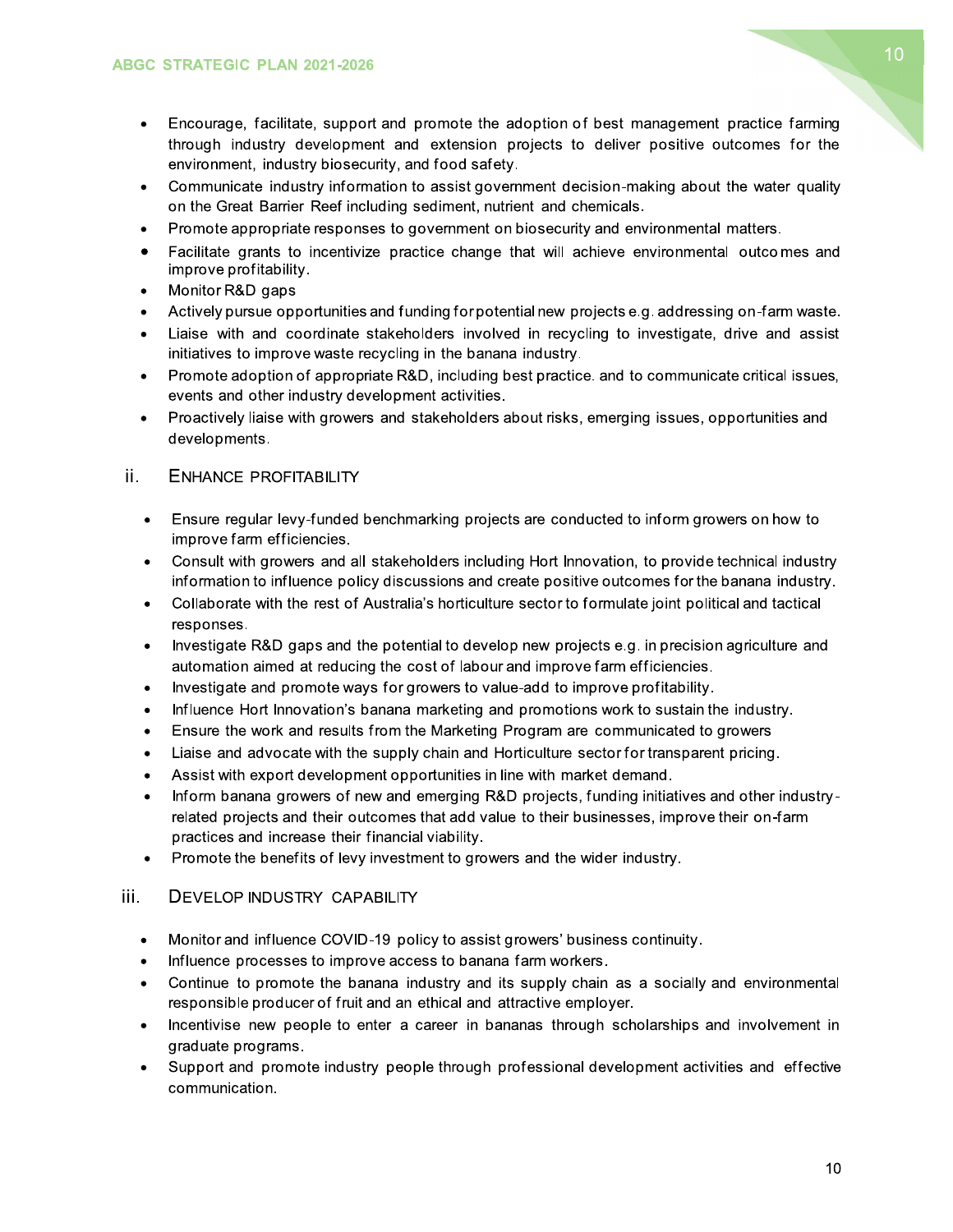- Encourage, facilitate, support and promote the adoption of best management practice farming through industry development and extension projects to deliver positive outcomes for the environment, industry biosecurity, and food safety.
- Communicate industry information to assist government decision-making about the water quality  $\bullet$ on the Great Barrier Reef including sediment, nutrient and chemicals.
- Promote appropriate responses to government on biosecurity and environmental matters.  $\bullet$
- Facilitate grants to incentivize practice change that will achieve environmental outcomes and improve profitability.
- Monitor R&D gaps  $\bullet$
- Actively pursue opportunities and funding for potential new projects e.g. addressing on-farm waste.
- Liaise with and coordinate stakeholders involved in recycling to investigate, drive and assist initiatives to improve waste recycling in the banana industry.
- Promote adoption of appropriate R&D, including best practice, and to communicate critical issues,  $\bullet$ events and other industry development activities.
- Proactively liaise with growers and stakeholders about risks, emerging issues, opportunities and  $\bullet$ developments.

#### ii. **ENHANCE PROFITABILITY**

- Ensure regular levy-funded benchmarking projects are conducted to inform growers on how to improve farm efficiencies.
- Consult with growers and all stakeholders including Hort Innovation, to provide technical industry  $\bullet$ information to influence policy discussions and create positive outcomes for the banana industry.
- Collaborate with the rest of Australia's horticulture sector to formulate joint political and tactical  $\bullet$ responses.
- Investigate R&D gaps and the potential to develop new projects e.g. in precision agriculture and  $\bullet$ automation aimed at reducing the cost of labour and improve farm efficiencies.
- Investigate and promote ways for growers to value-add to improve profitability.  $\bullet$
- Influence Hort Innovation's banana marketing and promotions work to sustain the industry.  $\bullet$
- Ensure the work and results from the Marketing Program are communicated to growers
- Liaise and advocate with the supply chain and Horticulture sector for transparent pricing.  $\bullet$
- Assist with export development opportunities in line with market demand.  $\bullet$
- Inform banana growers of new and emerging R&D projects, funding initiatives and other industry- $\bullet$ related projects and their outcomes that add value to their businesses, improve their on-farm practices and increase their financial viability.
- Promote the benefits of levy investment to growers and the wider industry.  $\bullet$

#### iii. **DEVELOP INDUSTRY CAPABILITY**

- Monitor and influence COVID-19 policy to assist growers' business continuity.  $\bullet$
- Influence processes to improve access to banana farm workers.
- Continue to promote the banana industry and its supply chain as a socially and environmental  $\bullet$ responsible producer of fruit and an ethical and attractive employer.
- Incentivise new people to enter a career in bananas through scholarships and involvement in  $\bullet$ graduate programs.
- Support and promote industry people through professional development activities and effective communication.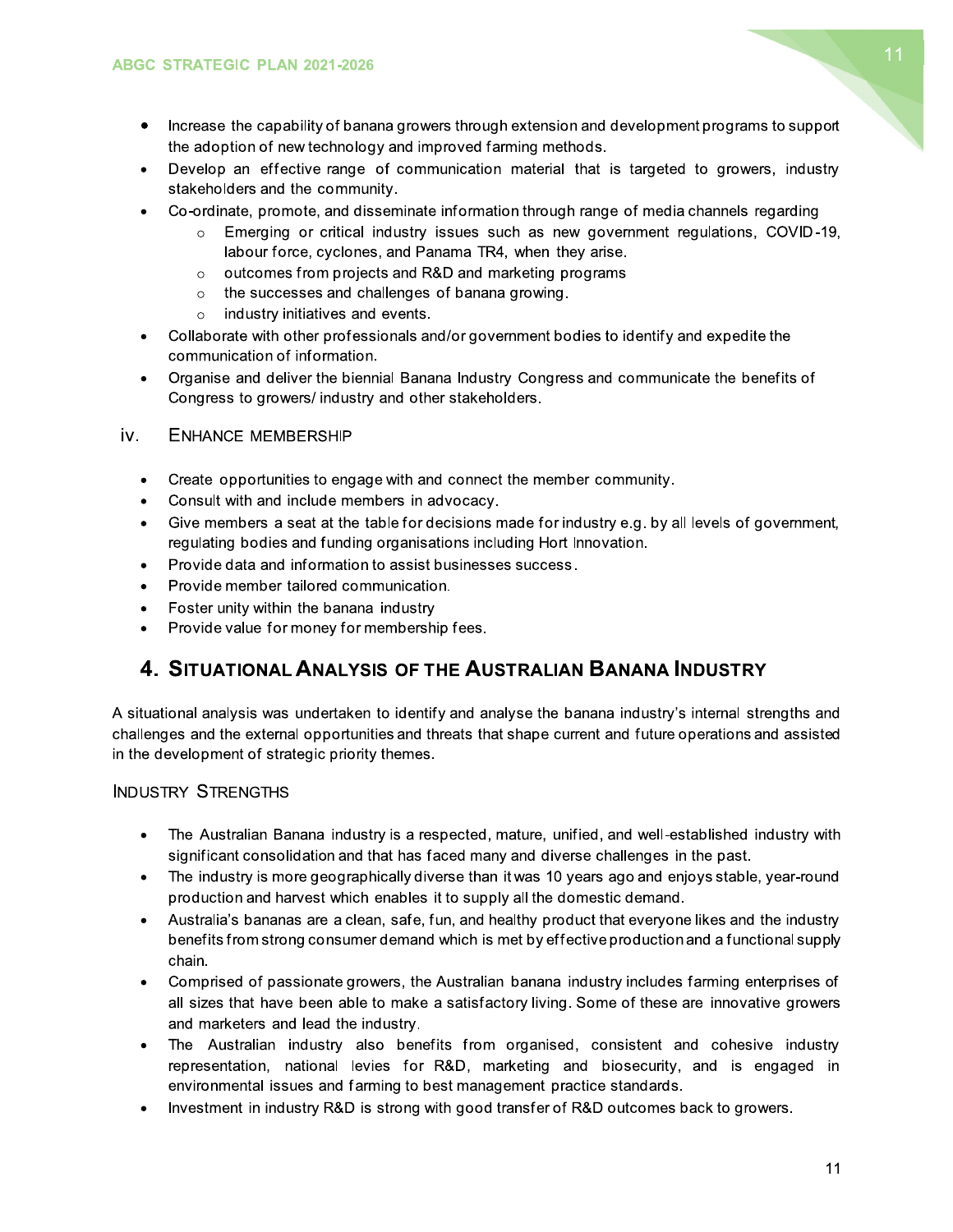- Increase the capability of banana growers through extension and development programs to support  $\bullet$ the adoption of new technology and improved farming methods.
- Develop an effective range of communication material that is targeted to growers, industry stakeholders and the community.
- Co-ordinate, promote, and disseminate information through range of media channels regarding
	- Emerging or critical industry issues such as new government regulations, COVID-19,  $\circ$ labour force, cyclones, and Panama TR4, when they arise.
	- o outcomes from projects and R&D and marketing programs
	- $\circ$  the successes and challenges of banana growing.
	- $\circ$  industry initiatives and events.
- Collaborate with other professionals and/or government bodies to identify and expedite the communication of information.
- Organise and deliver the biennial Banana Industry Congress and communicate the benefits of  $\bullet$ Congress to growers/industry and other stakeholders.

#### iv. **ENHANCE MEMBERSHIP**

- Create opportunities to engage with and connect the member community.  $\bullet$
- Consult with and include members in advocacy.  $\bullet$
- Give members a seat at the table for decisions made for industry e.g. by all levels of government,  $\bullet$ regulating bodies and funding organisations including Hort Innovation.
- Provide data and information to assist businesses success.  $\bullet$
- Provide member tailored communication.  $\bullet$
- Foster unity within the banana industry
- Provide value for money for membership fees.

### 4. SITUATIONAL ANALYSIS OF THE AUSTRALIAN BANANA INDUSTRY

A situational analysis was undertaken to identify and analyse the banana industry's internal strengths and challenges and the external opportunities and threats that shape current and future operations and assisted in the development of strategic priority themes.

#### **INDUSTRY STRENGTHS**

- The Australian Banana industry is a respected, mature, unified, and well-established industry with  $\bullet$ significant consolidation and that has faced many and diverse challenges in the past.
- The industry is more geographically diverse than it was 10 years ago and enjoys stable, year-round  $\bullet$ production and harvest which enables it to supply all the domestic demand.
- Australia's bananas are a clean, safe, fun, and healthy product that everyone likes and the industry benefits from strong consumer demand which is met by effective production and a functional supply chain.
- Comprised of passionate growers, the Australian banana industry includes farming enterprises of  $\bullet$ all sizes that have been able to make a satisfactory living. Some of these are innovative growers and marketers and lead the industry.
- The Australian industry also benefits from organised, consistent and cohesive industry representation, national levies for R&D, marketing and biosecurity, and is engaged in environmental issues and farming to best management practice standards.
- Investment in industry R&D is strong with good transfer of R&D outcomes back to growers.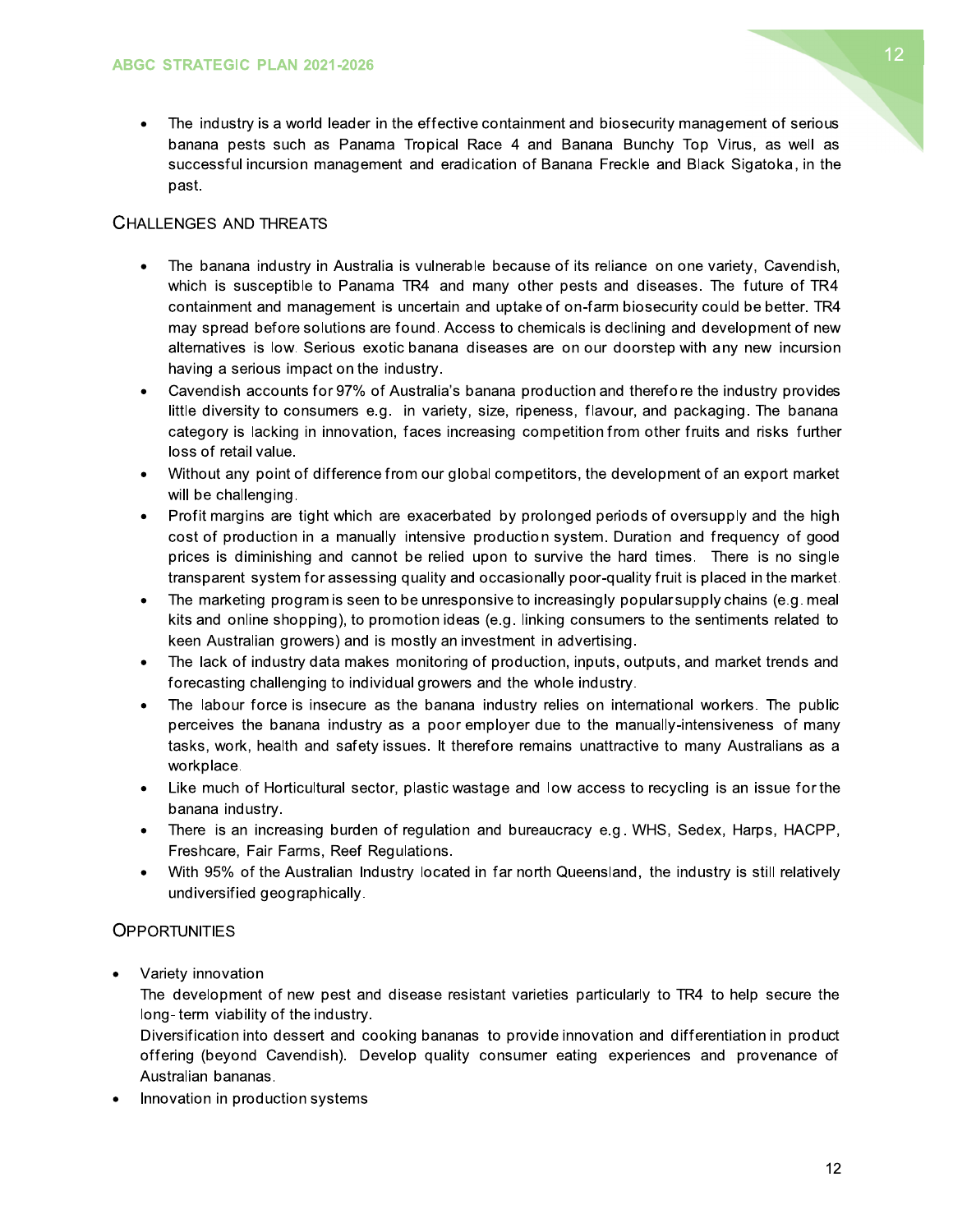The industry is a world leader in the effective containment and biosecurity management of serious  $\bullet$ banana pests such as Panama Tropical Race 4 and Banana Bunchy Top Virus, as well as successful incursion management and eradication of Banana Freckle and Black Sigatoka, in the past.

#### **CHALLENGES AND THREATS**

- The banana industry in Australia is vulnerable because of its reliance on one variety, Cavendish, which is susceptible to Panama TR4 and many other pests and diseases. The future of TR4 containment and management is uncertain and uptake of on-farm biosecurity could be better. TR4 may spread before solutions are found. Access to chemicals is declining and development of new alternatives is low. Serious exotic banana diseases are on our doorstep with any new incursion having a serious impact on the industry.
- Cavendish accounts for 97% of Australia's banana production and therefore the industry provides  $\bullet$ little diversity to consumers e.g. in variety, size, ripeness, flavour, and packaging. The banana category is lacking in innovation, faces increasing competition from other fruits and risks further loss of retail value.
- Without any point of difference from our global competitors, the development of an export market  $\bullet$ will be challenging.
- Profit margins are tight which are exacerbated by prolonged periods of oversupply and the high cost of production in a manually intensive production system. Duration and frequency of good prices is diminishing and cannot be relied upon to survive the hard times. There is no single transparent system for assessing quality and occasionally poor-quality fruit is placed in the market.
- The marketing program is seen to be unresponsive to increasingly popular supply chains (e.g. meal  $\bullet$ kits and online shopping), to promotion ideas (e.g. linking consumers to the sentiments related to keen Australian growers) and is mostly an investment in advertising.
- The lack of industry data makes monitoring of production, inputs, outputs, and market trends and forecasting challenging to individual growers and the whole industry.
- The labour force is insecure as the banana industry relies on international workers. The public  $\bullet$ perceives the banana industry as a poor employer due to the manually-intensiveness of many tasks, work, health and safety issues. It therefore remains unattractive to many Australians as a workplace.
- Like much of Horticultural sector, plastic wastage and low access to recycling is an issue for the banana industry.
- There is an increasing burden of regulation and bureaucracy e.g. WHS, Sedex, Harps, HACPP,  $\bullet$ Freshcare, Fair Farms, Reef Requlations.
- With 95% of the Australian Industry located in far north Queensland, the industry is still relatively undiversified geographically.

#### **OPPORTUNITIES**

Variety innovation

The development of new pest and disease resistant varieties particularly to TR4 to help secure the long-term viability of the industry.

Diversification into dessert and cooking bananas to provide innovation and differentiation in product offering (beyond Cavendish). Develop quality consumer eating experiences and provenance of Australian bananas.

Innovation in production systems